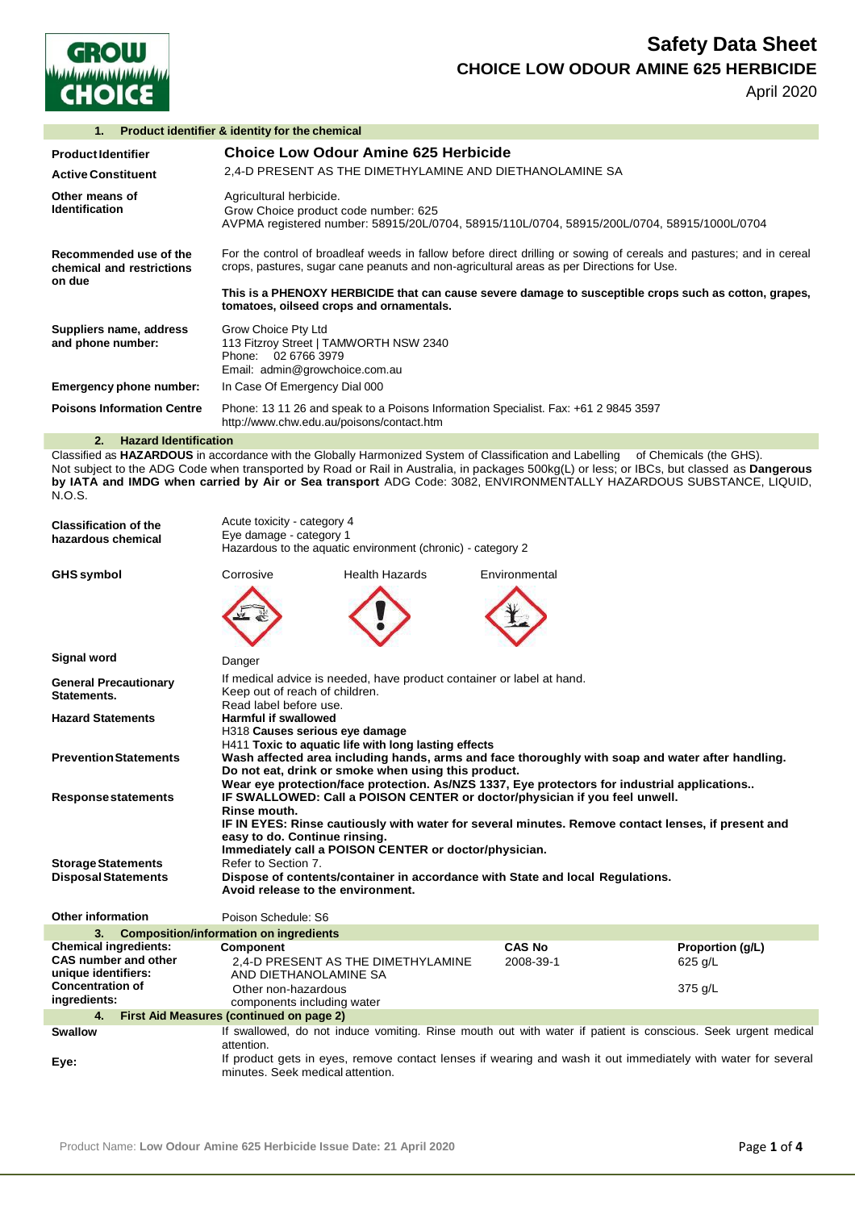

# **Safety Data Sheet CHOICE LOW ODOUR AMINE 625 HERBICIDE**

April 2020

| Product identifier & identity for the chemical<br>1.          |                                                                                                                                                                                                                                                                                                                                                                        |  |
|---------------------------------------------------------------|------------------------------------------------------------------------------------------------------------------------------------------------------------------------------------------------------------------------------------------------------------------------------------------------------------------------------------------------------------------------|--|
| <b>Product Identifier</b><br><b>Active Constituent</b>        | Choice Low Odour Amine 625 Herbicide<br>2.4-D PRESENT AS THE DIMETHYLAMINE AND DIETHANOLAMINE SA                                                                                                                                                                                                                                                                       |  |
| Other means of<br>Identification                              | Agricultural herbicide.<br>Grow Choice product code number: 625<br>AVPMA registered number: 58915/20L/0704, 58915/110L/0704, 58915/200L/0704, 58915/1000L/0704                                                                                                                                                                                                         |  |
| Recommended use of the<br>chemical and restrictions<br>on due | For the control of broadleaf weeds in fallow before direct drilling or sowing of cereals and pastures; and in cereal<br>crops, pastures, sugar cane peanuts and non-agricultural areas as per Directions for Use.<br>This is a PHENOXY HERBICIDE that can cause severe damage to susceptible crops such as cotton, grapes,<br>tomatoes, oilseed crops and ornamentals. |  |
| Suppliers name, address<br>and phone number:                  | Grow Choice Pty Ltd<br>113 Fitzroy Street   TAMWORTH NSW 2340<br>Phone: 02 6766 3979<br>Email: admin@growchoice.com.au                                                                                                                                                                                                                                                 |  |
| Emergency phone number:                                       | In Case Of Emergency Dial 000                                                                                                                                                                                                                                                                                                                                          |  |
| <b>Poisons Information Centre</b>                             | Phone: 13 11 26 and speak to a Poisons Information Specialist. Fax: +61 2 9845 3597<br>http://www.chw.edu.au/poisons/contact.htm                                                                                                                                                                                                                                       |  |

### **2. Hazard Identification**

Classified as **HAZARDOUS** in accordance with the Globally Harmonized System of Classification and Labelling of Chemicals (the GHS). Not subject to the ADG Code when transported by Road or Rail in Australia, in packages 500kg(L) or less; or IBCs, but classed as **Dangerous by IATA and IMDG when carried by Air or Sea transport** ADG Code: 3082, ENVIRONMENTALLY HAZARDOUS SUBSTANCE, LIQUID, N.O.S.

| <b>Classification of the</b><br>hazardous chemical | Acute toxicity - category 4<br>Eye damage - category 1<br>Hazardous to the aquatic environment (chronic) - category 2                                                                                                                                                                                                                                                                      |                                                                       |                                                                               |                                                                                                               |  |
|----------------------------------------------------|--------------------------------------------------------------------------------------------------------------------------------------------------------------------------------------------------------------------------------------------------------------------------------------------------------------------------------------------------------------------------------------------|-----------------------------------------------------------------------|-------------------------------------------------------------------------------|---------------------------------------------------------------------------------------------------------------|--|
| <b>GHS symbol</b>                                  | Corrosive                                                                                                                                                                                                                                                                                                                                                                                  | <b>Health Hazards</b>                                                 | Environmental                                                                 |                                                                                                               |  |
|                                                    |                                                                                                                                                                                                                                                                                                                                                                                            |                                                                       |                                                                               |                                                                                                               |  |
| Signal word                                        | Danger                                                                                                                                                                                                                                                                                                                                                                                     |                                                                       |                                                                               |                                                                                                               |  |
| <b>General Precautionary</b><br>Statements.        | Keep out of reach of children.<br>Read label before use.                                                                                                                                                                                                                                                                                                                                   | If medical advice is needed, have product container or label at hand. |                                                                               |                                                                                                               |  |
| <b>Hazard Statements</b>                           | <b>Harmful if swallowed</b><br>H318 Causes serious eye damage                                                                                                                                                                                                                                                                                                                              |                                                                       |                                                                               |                                                                                                               |  |
| <b>Prevention Statements</b>                       | H411 Toxic to aquatic life with long lasting effects<br>Wash affected area including hands, arms and face thoroughly with soap and water after handling.<br>Do not eat, drink or smoke when using this product.                                                                                                                                                                            |                                                                       |                                                                               |                                                                                                               |  |
| <b>Response statements</b>                         | Wear eye protection/face protection. As/NZS 1337, Eye protectors for industrial applications<br>IF SWALLOWED: Call a POISON CENTER or doctor/physician if you feel unwell.<br>Rinse mouth.<br>IF IN EYES: Rinse cautiously with water for several minutes. Remove contact lenses, if present and<br>easy to do. Continue rinsing.<br>Immediately call a POISON CENTER or doctor/physician. |                                                                       |                                                                               |                                                                                                               |  |
| <b>Storage Statements</b>                          | Refer to Section 7.                                                                                                                                                                                                                                                                                                                                                                        |                                                                       |                                                                               |                                                                                                               |  |
| <b>Disposal Statements</b>                         | Avoid release to the environment.                                                                                                                                                                                                                                                                                                                                                          |                                                                       | Dispose of contents/container in accordance with State and local Regulations. |                                                                                                               |  |
| <b>Other information</b>                           | Poison Schedule: S6                                                                                                                                                                                                                                                                                                                                                                        |                                                                       |                                                                               |                                                                                                               |  |
| 3.                                                 | <b>Composition/information on ingredients</b>                                                                                                                                                                                                                                                                                                                                              |                                                                       |                                                                               |                                                                                                               |  |
| <b>Chemical ingredients:</b>                       | Component                                                                                                                                                                                                                                                                                                                                                                                  |                                                                       | <b>CAS No</b>                                                                 | Proportion (g/L)                                                                                              |  |
| <b>CAS number and other</b><br>unique identifiers: | AND DIETHANOLAMINE SA                                                                                                                                                                                                                                                                                                                                                                      | 2.4-D PRESENT AS THE DIMETHYLAMINE                                    | 2008-39-1                                                                     | 625 g/L                                                                                                       |  |
| <b>Concentration of</b><br>ingredients:            | Other non-hazardous<br>components including water                                                                                                                                                                                                                                                                                                                                          |                                                                       |                                                                               | 375 g/L                                                                                                       |  |
| 4.                                                 | First Aid Measures (continued on page 2)                                                                                                                                                                                                                                                                                                                                                   |                                                                       |                                                                               |                                                                                                               |  |
| <b>Swallow</b>                                     | attention.                                                                                                                                                                                                                                                                                                                                                                                 |                                                                       |                                                                               | If swallowed, do not induce vomiting. Rinse mouth out with water if patient is conscious. Seek urgent medical |  |
| Eye:                                               | minutes. Seek medical attention.                                                                                                                                                                                                                                                                                                                                                           |                                                                       |                                                                               | If product gets in eyes, remove contact lenses if wearing and wash it out immediately with water for several  |  |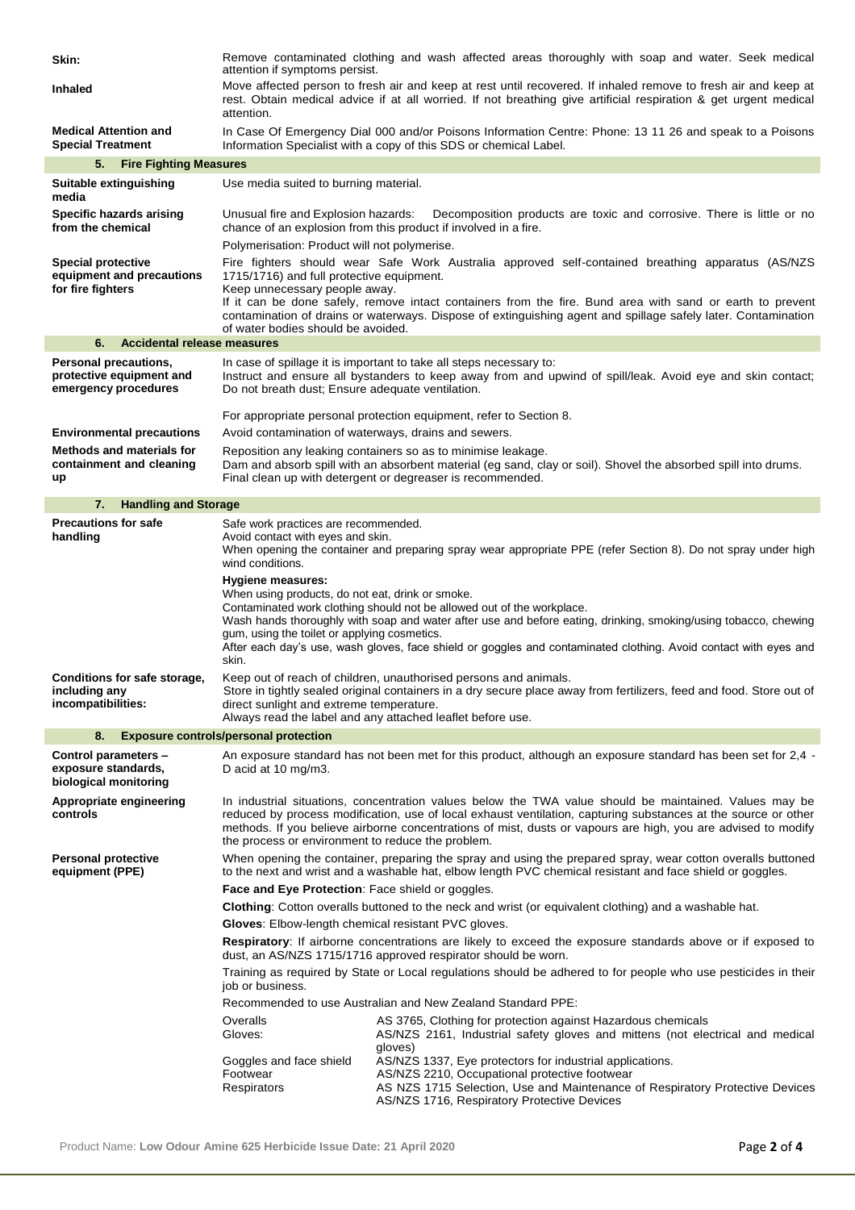| Skin:                                                                       | attention if symptoms persist.                                                                                                                                                                                                                                                                                                                                                                                | Remove contaminated clothing and wash affected areas thoroughly with soap and water. Seek medical                                                                                                                                                                                                             |  |  |  |
|-----------------------------------------------------------------------------|---------------------------------------------------------------------------------------------------------------------------------------------------------------------------------------------------------------------------------------------------------------------------------------------------------------------------------------------------------------------------------------------------------------|---------------------------------------------------------------------------------------------------------------------------------------------------------------------------------------------------------------------------------------------------------------------------------------------------------------|--|--|--|
| <b>Inhaled</b>                                                              | attention.                                                                                                                                                                                                                                                                                                                                                                                                    | Move affected person to fresh air and keep at rest until recovered. If inhaled remove to fresh air and keep at<br>rest. Obtain medical advice if at all worried. If not breathing give artificial respiration & get urgent medical                                                                            |  |  |  |
| <b>Medical Attention and</b><br><b>Special Treatment</b>                    |                                                                                                                                                                                                                                                                                                                                                                                                               | In Case Of Emergency Dial 000 and/or Poisons Information Centre: Phone: 13 11 26 and speak to a Poisons<br>Information Specialist with a copy of this SDS or chemical Label.                                                                                                                                  |  |  |  |
| 5.<br><b>Fire Fighting Measures</b>                                         |                                                                                                                                                                                                                                                                                                                                                                                                               |                                                                                                                                                                                                                                                                                                               |  |  |  |
| Suitable extinguishing<br>media                                             | Use media suited to burning material.                                                                                                                                                                                                                                                                                                                                                                         |                                                                                                                                                                                                                                                                                                               |  |  |  |
| Specific hazards arising<br>from the chemical                               | Unusual fire and Explosion hazards:                                                                                                                                                                                                                                                                                                                                                                           | Decomposition products are toxic and corrosive. There is little or no<br>chance of an explosion from this product if involved in a fire.                                                                                                                                                                      |  |  |  |
|                                                                             | Polymerisation: Product will not polymerise.                                                                                                                                                                                                                                                                                                                                                                  |                                                                                                                                                                                                                                                                                                               |  |  |  |
| <b>Special protective</b><br>equipment and precautions<br>for fire fighters | Fire fighters should wear Safe Work Australia approved self-contained breathing apparatus (AS/NZS<br>1715/1716) and full protective equipment.<br>Keep unnecessary people away.<br>If it can be done safely, remove intact containers from the fire. Bund area with sand or earth to prevent<br>contamination of drains or waterways. Dispose of extinguishing agent and spillage safely later. Contamination |                                                                                                                                                                                                                                                                                                               |  |  |  |
|                                                                             | of water bodies should be avoided.                                                                                                                                                                                                                                                                                                                                                                            |                                                                                                                                                                                                                                                                                                               |  |  |  |
| 6.<br>Accidental release measures                                           |                                                                                                                                                                                                                                                                                                                                                                                                               |                                                                                                                                                                                                                                                                                                               |  |  |  |
| Personal precautions,<br>protective equipment and<br>emergency procedures   | Do not breath dust; Ensure adequate ventilation.                                                                                                                                                                                                                                                                                                                                                              | In case of spillage it is important to take all steps necessary to:<br>Instruct and ensure all bystanders to keep away from and upwind of spill/leak. Avoid eye and skin contact:                                                                                                                             |  |  |  |
|                                                                             |                                                                                                                                                                                                                                                                                                                                                                                                               | For appropriate personal protection equipment, refer to Section 8.                                                                                                                                                                                                                                            |  |  |  |
| <b>Environmental precautions</b>                                            | Avoid contamination of waterways, drains and sewers.                                                                                                                                                                                                                                                                                                                                                          |                                                                                                                                                                                                                                                                                                               |  |  |  |
| <b>Methods and materials for</b><br>containment and cleaning<br>up          |                                                                                                                                                                                                                                                                                                                                                                                                               | Reposition any leaking containers so as to minimise leakage.<br>Dam and absorb spill with an absorbent material (eg sand, clay or soil). Shovel the absorbed spill into drums.<br>Final clean up with detergent or degreaser is recommended.                                                                  |  |  |  |
| <b>Handling and Storage</b><br>7.                                           |                                                                                                                                                                                                                                                                                                                                                                                                               |                                                                                                                                                                                                                                                                                                               |  |  |  |
| <b>Precautions for safe</b><br>handling                                     | Safe work practices are recommended.<br>Avoid contact with eyes and skin.<br>wind conditions.                                                                                                                                                                                                                                                                                                                 | When opening the container and preparing spray wear appropriate PPE (refer Section 8). Do not spray under high                                                                                                                                                                                                |  |  |  |
| Conditions for safe storage,                                                | <b>Hygiene measures:</b><br>When using products, do not eat, drink or smoke.<br>gum, using the toilet or applying cosmetics.<br>skin.                                                                                                                                                                                                                                                                         | Contaminated work clothing should not be allowed out of the workplace.<br>Wash hands thoroughly with soap and water after use and before eating, drinking, smoking/using tobacco, chewing<br>After each day's use, wash gloves, face shield or goggles and contaminated clothing. Avoid contact with eyes and |  |  |  |
| including any<br>incompatibilities:                                         | Keep out of reach of children, unauthorised persons and animals.<br>Store in tightly sealed original containers in a dry secure place away from fertilizers, feed and food. Store out of<br>direct sunlight and extreme temperature.<br>Always read the label and any attached leaflet before use.                                                                                                            |                                                                                                                                                                                                                                                                                                               |  |  |  |
| 8.                                                                          | <b>Exposure controls/personal protection</b>                                                                                                                                                                                                                                                                                                                                                                  |                                                                                                                                                                                                                                                                                                               |  |  |  |
| Control parameters -<br>exposure standards,<br>biological monitoring        | D acid at 10 mg/m3.                                                                                                                                                                                                                                                                                                                                                                                           | An exposure standard has not been met for this product, although an exposure standard has been set for 2,4 -                                                                                                                                                                                                  |  |  |  |
| Appropriate engineering<br>controls                                         | In industrial situations, concentration values below the TWA value should be maintained. Values may be<br>reduced by process modification, use of local exhaust ventilation, capturing substances at the source or other<br>methods. If you believe airborne concentrations of mist, dusts or vapours are high, you are advised to modify<br>the process or environment to reduce the problem.                |                                                                                                                                                                                                                                                                                                               |  |  |  |
| <b>Personal protective</b><br>equipment (PPE)                               |                                                                                                                                                                                                                                                                                                                                                                                                               | When opening the container, preparing the spray and using the prepared spray, wear cotton overalls buttoned<br>to the next and wrist and a washable hat, elbow length PVC chemical resistant and face shield or goggles.                                                                                      |  |  |  |
|                                                                             | Face and Eye Protection: Face shield or goggles.                                                                                                                                                                                                                                                                                                                                                              |                                                                                                                                                                                                                                                                                                               |  |  |  |
|                                                                             |                                                                                                                                                                                                                                                                                                                                                                                                               | Clothing: Cotton overalls buttoned to the neck and wrist (or equivalent clothing) and a washable hat.                                                                                                                                                                                                         |  |  |  |
|                                                                             | Gloves: Elbow-length chemical resistant PVC gloves.                                                                                                                                                                                                                                                                                                                                                           |                                                                                                                                                                                                                                                                                                               |  |  |  |
|                                                                             |                                                                                                                                                                                                                                                                                                                                                                                                               | <b>Respiratory:</b> If airborne concentrations are likely to exceed the exposure standards above or if exposed to<br>dust, an AS/NZS 1715/1716 approved respirator should be worn.                                                                                                                            |  |  |  |
|                                                                             | job or business.                                                                                                                                                                                                                                                                                                                                                                                              | Training as required by State or Local regulations should be adhered to for people who use pesticides in their                                                                                                                                                                                                |  |  |  |
|                                                                             |                                                                                                                                                                                                                                                                                                                                                                                                               | Recommended to use Australian and New Zealand Standard PPE:                                                                                                                                                                                                                                                   |  |  |  |
|                                                                             | Overalls<br>Gloves:                                                                                                                                                                                                                                                                                                                                                                                           | AS 3765, Clothing for protection against Hazardous chemicals<br>AS/NZS 2161, Industrial safety gloves and mittens (not electrical and medical                                                                                                                                                                 |  |  |  |
|                                                                             | Goggles and face shield                                                                                                                                                                                                                                                                                                                                                                                       | gloves)<br>AS/NZS 1337, Eye protectors for industrial applications.                                                                                                                                                                                                                                           |  |  |  |
|                                                                             | Footwear<br>Respirators                                                                                                                                                                                                                                                                                                                                                                                       | AS/NZS 2210, Occupational protective footwear<br>AS NZS 1715 Selection, Use and Maintenance of Respiratory Protective Devices<br>AS/NZS 1716, Respiratory Protective Devices                                                                                                                                  |  |  |  |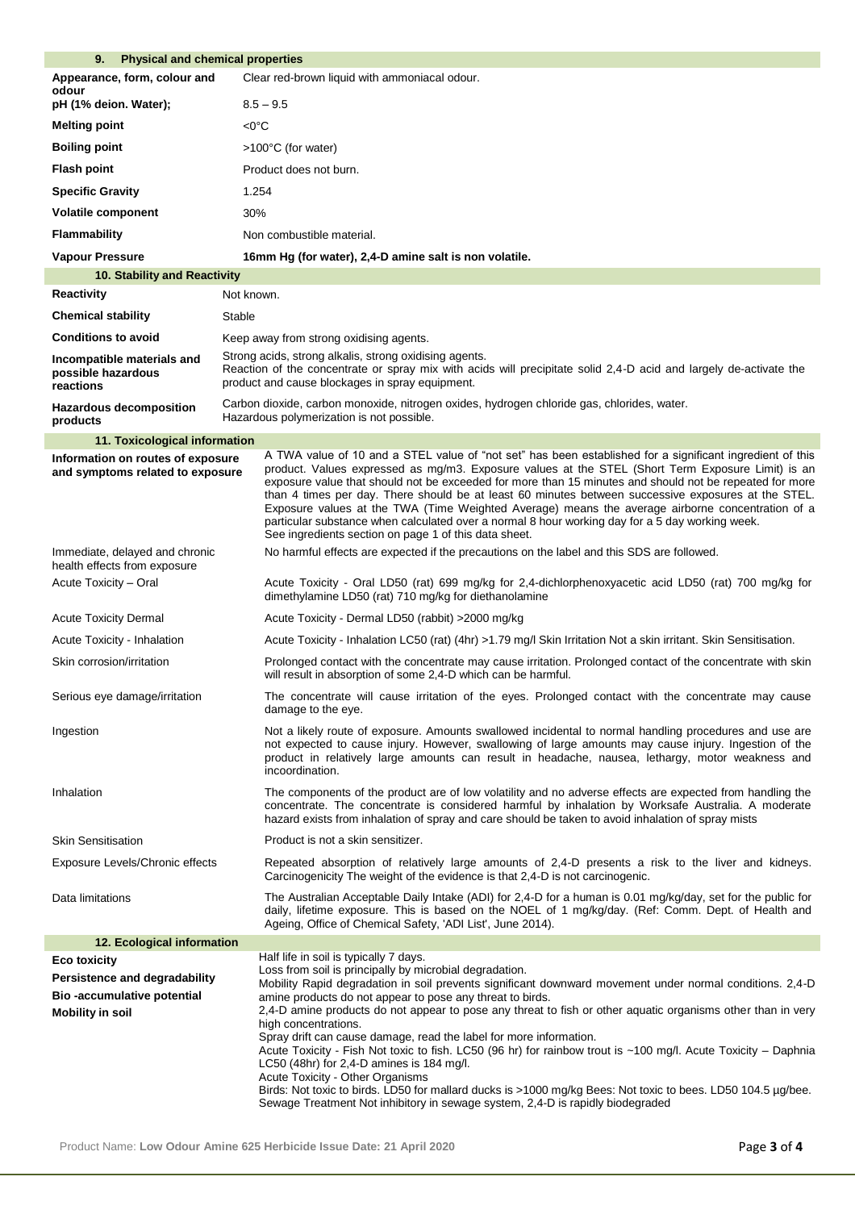| 9.<br><b>Physical and chemical properties</b>                                                                 |                                                                                                                                                                                                                                                                                                                                                                                                                                                                                                                                                                                                                                                                                                                                                                                                            |  |  |  |
|---------------------------------------------------------------------------------------------------------------|------------------------------------------------------------------------------------------------------------------------------------------------------------------------------------------------------------------------------------------------------------------------------------------------------------------------------------------------------------------------------------------------------------------------------------------------------------------------------------------------------------------------------------------------------------------------------------------------------------------------------------------------------------------------------------------------------------------------------------------------------------------------------------------------------------|--|--|--|
| Appearance, form, colour and<br>odour                                                                         | Clear red-brown liquid with ammoniacal odour.                                                                                                                                                                                                                                                                                                                                                                                                                                                                                                                                                                                                                                                                                                                                                              |  |  |  |
| pH (1% deion. Water);                                                                                         | $8.5 - 9.5$                                                                                                                                                                                                                                                                                                                                                                                                                                                                                                                                                                                                                                                                                                                                                                                                |  |  |  |
| <b>Melting point</b>                                                                                          | $<$ 0 $^{\circ}$ C                                                                                                                                                                                                                                                                                                                                                                                                                                                                                                                                                                                                                                                                                                                                                                                         |  |  |  |
| <b>Boiling point</b>                                                                                          | >100°C (for water)                                                                                                                                                                                                                                                                                                                                                                                                                                                                                                                                                                                                                                                                                                                                                                                         |  |  |  |
| <b>Flash point</b>                                                                                            | Product does not burn.                                                                                                                                                                                                                                                                                                                                                                                                                                                                                                                                                                                                                                                                                                                                                                                     |  |  |  |
| <b>Specific Gravity</b>                                                                                       | 1.254                                                                                                                                                                                                                                                                                                                                                                                                                                                                                                                                                                                                                                                                                                                                                                                                      |  |  |  |
| Volatile component                                                                                            | 30%                                                                                                                                                                                                                                                                                                                                                                                                                                                                                                                                                                                                                                                                                                                                                                                                        |  |  |  |
| <b>Flammability</b>                                                                                           | Non combustible material.                                                                                                                                                                                                                                                                                                                                                                                                                                                                                                                                                                                                                                                                                                                                                                                  |  |  |  |
| <b>Vapour Pressure</b>                                                                                        | 16mm Hg (for water), 2,4-D amine salt is non volatile.                                                                                                                                                                                                                                                                                                                                                                                                                                                                                                                                                                                                                                                                                                                                                     |  |  |  |
| 10. Stability and Reactivity                                                                                  |                                                                                                                                                                                                                                                                                                                                                                                                                                                                                                                                                                                                                                                                                                                                                                                                            |  |  |  |
| <b>Reactivity</b>                                                                                             | Not known.                                                                                                                                                                                                                                                                                                                                                                                                                                                                                                                                                                                                                                                                                                                                                                                                 |  |  |  |
| <b>Chemical stability</b>                                                                                     | Stable                                                                                                                                                                                                                                                                                                                                                                                                                                                                                                                                                                                                                                                                                                                                                                                                     |  |  |  |
| <b>Conditions to avoid</b>                                                                                    | Keep away from strong oxidising agents.                                                                                                                                                                                                                                                                                                                                                                                                                                                                                                                                                                                                                                                                                                                                                                    |  |  |  |
| Incompatible materials and<br>possible hazardous<br>reactions                                                 | Strong acids, strong alkalis, strong oxidising agents.<br>Reaction of the concentrate or spray mix with acids will precipitate solid 2,4-D acid and largely de-activate the<br>product and cause blockages in spray equipment.                                                                                                                                                                                                                                                                                                                                                                                                                                                                                                                                                                             |  |  |  |
| <b>Hazardous decomposition</b><br>products                                                                    | Carbon dioxide, carbon monoxide, nitrogen oxides, hydrogen chloride gas, chlorides, water.<br>Hazardous polymerization is not possible.                                                                                                                                                                                                                                                                                                                                                                                                                                                                                                                                                                                                                                                                    |  |  |  |
| 11. Toxicological information                                                                                 |                                                                                                                                                                                                                                                                                                                                                                                                                                                                                                                                                                                                                                                                                                                                                                                                            |  |  |  |
| Information on routes of exposure<br>and symptoms related to exposure                                         | A TWA value of 10 and a STEL value of "not set" has been established for a significant ingredient of this<br>product. Values expressed as mg/m3. Exposure values at the STEL (Short Term Exposure Limit) is an<br>exposure value that should not be exceeded for more than 15 minutes and should not be repeated for more<br>than 4 times per day. There should be at least 60 minutes between successive exposures at the STEL.<br>Exposure values at the TWA (Time Weighted Average) means the average airborne concentration of a<br>particular substance when calculated over a normal 8 hour working day for a 5 day working week.<br>See ingredients section on page 1 of this data sheet.                                                                                                           |  |  |  |
| Immediate, delayed and chronic<br>health effects from exposure                                                | No harmful effects are expected if the precautions on the label and this SDS are followed.                                                                                                                                                                                                                                                                                                                                                                                                                                                                                                                                                                                                                                                                                                                 |  |  |  |
| Acute Toxicity - Oral                                                                                         | Acute Toxicity - Oral LD50 (rat) 699 mg/kg for 2,4-dichlorphenoxyacetic acid LD50 (rat) 700 mg/kg for<br>dimethylamine LD50 (rat) 710 mg/kg for diethanolamine                                                                                                                                                                                                                                                                                                                                                                                                                                                                                                                                                                                                                                             |  |  |  |
| <b>Acute Toxicity Dermal</b>                                                                                  | Acute Toxicity - Dermal LD50 (rabbit) > 2000 mg/kg                                                                                                                                                                                                                                                                                                                                                                                                                                                                                                                                                                                                                                                                                                                                                         |  |  |  |
| Acute Toxicity - Inhalation                                                                                   | Acute Toxicity - Inhalation LC50 (rat) (4hr) >1.79 mg/l Skin Irritation Not a skin irritant. Skin Sensitisation.                                                                                                                                                                                                                                                                                                                                                                                                                                                                                                                                                                                                                                                                                           |  |  |  |
| Skin corrosion/irritation                                                                                     | Prolonged contact with the concentrate may cause irritation. Prolonged contact of the concentrate with skin<br>will result in absorption of some 2,4-D which can be harmful.                                                                                                                                                                                                                                                                                                                                                                                                                                                                                                                                                                                                                               |  |  |  |
| Serious eye damage/irritation                                                                                 | The concentrate will cause irritation of the eyes. Prolonged contact with the concentrate may cause<br>damage to the eye.                                                                                                                                                                                                                                                                                                                                                                                                                                                                                                                                                                                                                                                                                  |  |  |  |
| Ingestion                                                                                                     | Not a likely route of exposure. Amounts swallowed incidental to normal handling procedures and use are<br>not expected to cause injury. However, swallowing of large amounts may cause injury. Ingestion of the<br>product in relatively large amounts can result in headache, nausea, lethargy, motor weakness and<br>incoordination.                                                                                                                                                                                                                                                                                                                                                                                                                                                                     |  |  |  |
| Inhalation                                                                                                    | The components of the product are of low volatility and no adverse effects are expected from handling the<br>concentrate. The concentrate is considered harmful by inhalation by Worksafe Australia. A moderate<br>hazard exists from inhalation of spray and care should be taken to avoid inhalation of spray mists                                                                                                                                                                                                                                                                                                                                                                                                                                                                                      |  |  |  |
| <b>Skin Sensitisation</b>                                                                                     | Product is not a skin sensitizer.                                                                                                                                                                                                                                                                                                                                                                                                                                                                                                                                                                                                                                                                                                                                                                          |  |  |  |
| Exposure Levels/Chronic effects                                                                               | Repeated absorption of relatively large amounts of 2,4-D presents a risk to the liver and kidneys.<br>Carcinogenicity The weight of the evidence is that 2,4-D is not carcinogenic.                                                                                                                                                                                                                                                                                                                                                                                                                                                                                                                                                                                                                        |  |  |  |
| Data limitations                                                                                              | The Australian Acceptable Daily Intake (ADI) for 2,4-D for a human is 0.01 mg/kg/day, set for the public for<br>daily, lifetime exposure. This is based on the NOEL of 1 mg/kg/day. (Ref: Comm. Dept. of Health and<br>Ageing, Office of Chemical Safety, 'ADI List', June 2014).                                                                                                                                                                                                                                                                                                                                                                                                                                                                                                                          |  |  |  |
| 12. Ecological information                                                                                    |                                                                                                                                                                                                                                                                                                                                                                                                                                                                                                                                                                                                                                                                                                                                                                                                            |  |  |  |
| <b>Eco toxicity</b><br>Persistence and degradability<br>Bio-accumulative potential<br><b>Mobility in soil</b> | Half life in soil is typically 7 days.<br>Loss from soil is principally by microbial degradation.<br>Mobility Rapid degradation in soil prevents significant downward movement under normal conditions. 2,4-D<br>amine products do not appear to pose any threat to birds.<br>2,4-D amine products do not appear to pose any threat to fish or other aquatic organisms other than in very<br>high concentrations.<br>Spray drift can cause damage, read the label for more information.<br>Acute Toxicity - Fish Not toxic to fish. LC50 (96 hr) for rainbow trout is ~100 mg/l. Acute Toxicity - Daphnia<br>LC50 (48hr) for 2,4-D amines is 184 mg/l.<br>Acute Toxicity - Other Organisms<br>Birds: Not toxic to birds. LD50 for mallard ducks is >1000 mg/kg Bees: Not toxic to bees. LD50 104.5 µg/bee. |  |  |  |
|                                                                                                               | Sewage Treatment Not inhibitory in sewage system, 2,4-D is rapidly biodegraded                                                                                                                                                                                                                                                                                                                                                                                                                                                                                                                                                                                                                                                                                                                             |  |  |  |